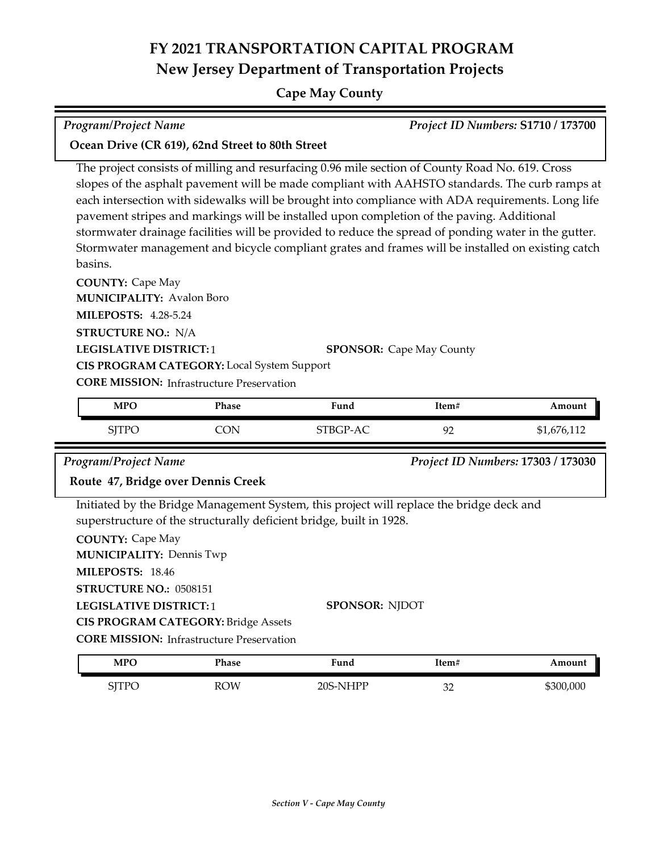# **FY 2021 TRANSPORTATION CAPITAL PROGRAM New Jersey Department of Transportation Projects**

### **Cape May County**

| $\vert$ Program/Project Name | Project ID Numbers: S1710 / 173700 |
|------------------------------|------------------------------------|

### **Ocean Drive (CR 619), 62nd Street to 80th Street**

The project consists of milling and resurfacing 0.96 mile section of County Road No. 619. Cross slopes of the asphalt pavement will be made compliant with AAHSTO standards. The curb ramps at each intersection with sidewalks will be brought into compliance with ADA requirements. Long life pavement stripes and markings will be installed upon completion of the paving. Additional stormwater drainage facilities will be provided to reduce the spread of ponding water in the gutter. Stormwater management and bicycle compliant grates and frames will be installed on existing catch basins.

**COUNTY:** Cape May **LEGISLATIVE DISTRICT:** 1 **MILEPOSTS:** 4.28-5.24 **STRUCTURE NO.:** N/A **MUNICIPALITY: Avalon Boro CORE MISSION: Infrastructure Preservation SPONSOR:** Cape May County **CIS PROGRAM CATEGORY:** Local System Support

| <b>MPO</b>   | Phase | Fund     | Item# | Amount    |
|--------------|-------|----------|-------|-----------|
| <b>SJTPO</b> | ∋⊾    | STBGP-AC | 92    | 1,676,112 |

*Program/Project Name Project ID Numbers:* **17303 / 173030**

### **Route 47, Bridge over Dennis Creek**

Initiated by the Bridge Management System, this project will replace the bridge deck and superstructure of the structurally deficient bridge, built in 1928.

| <b>COUNTY: Cape May</b>                          |                       |
|--------------------------------------------------|-----------------------|
| <b>MUNICIPALITY: Dennis Twp</b>                  |                       |
| MILEPOSTS: 18.46                                 |                       |
| STRUCTURE NO.: 0508151                           |                       |
| <b>LEGISLATIVE DISTRICT:1</b>                    | <b>SPONSOR: NIDOT</b> |
| <b>CIS PROGRAM CATEGORY: Bridge Assets</b>       |                       |
| <b>CORE MISSION:</b> Infrastructure Preservation |                       |
|                                                  |                       |

| MPO                            | Phase      | T.<br>Fund | .tem#           | Amount    |
|--------------------------------|------------|------------|-----------------|-----------|
| -TTD $\epsilon$<br><b>ULLU</b> | <b>ROW</b> | $20S-NHPP$ | n r<br>ےں<br>__ | \$300,000 |